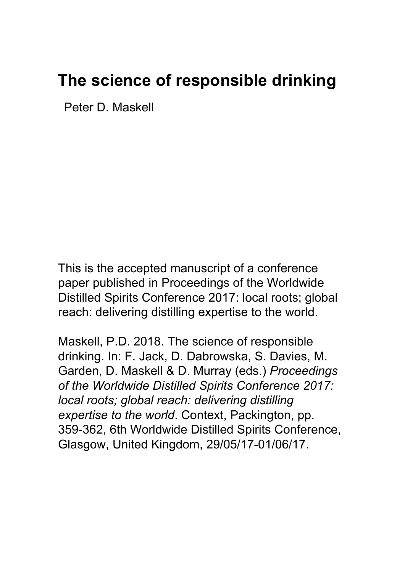# **The science of responsible drinking**

Peter D. Maskell

This is the accepted manuscript of a conference paper published in Proceedings of the Worldwide Distilled Spirits Conference 2017: local roots; global reach: delivering distilling expertise to the world.

Maskell, P.D. 2018. The science of responsible drinking. In: F. Jack, D. Dabrowska, S. Davies, M. Garden, D. Maskell & D. Murray (eds.) *Proceedings of the Worldwide Distilled Spirits Conference 2017: local roots; global reach: delivering distilling expertise to the world*. Context, Packington, pp. 359-362, 6th Worldwide Distilled Spirits Conference, Glasgow, United Kingdom, 29/05/17-01/06/17.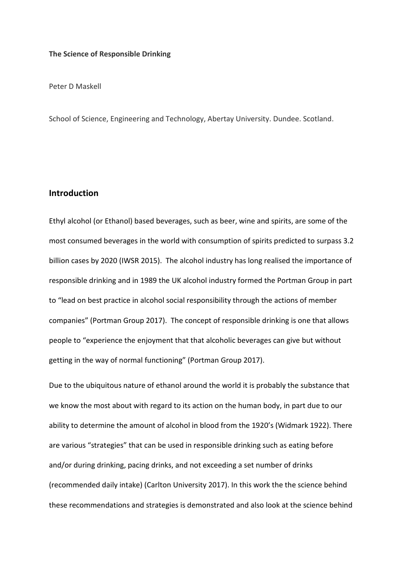#### **The Science of Responsible Drinking**

Peter D Maskell

School of Science, Engineering and Technology, Abertay University. Dundee. Scotland.

## **Introduction**

Ethyl alcohol (or Ethanol) based beverages, such as beer, wine and spirits, are some of the most consumed beverages in the world with consumption of spirits predicted to surpass 3.2 billion cases by 2020 (IWSR 2015). The alcohol industry has long realised the importance of responsible drinking and in 1989 the UK alcohol industry formed the Portman Group in part to "lead on best practice in alcohol social responsibility through the actions of member companies" (Portman Group 2017). The concept of responsible drinking is one that allows people to "experience the enjoyment that that alcoholic beverages can give but without getting in the way of normal functioning" (Portman Group 2017).

Due to the ubiquitous nature of ethanol around the world it is probably the substance that we know the most about with regard to its action on the human body, in part due to our ability to determine the amount of alcohol in blood from the 1920's (Widmark 1922). There are various "strategies" that can be used in responsible drinking such as eating before and/or during drinking, pacing drinks, and not exceeding a set number of drinks (recommended daily intake) (Carlton University 2017). In this work the the science behind these recommendations and strategies is demonstrated and also look at the science behind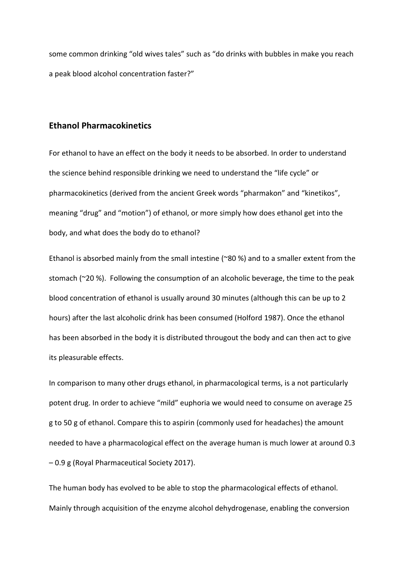some common drinking "old wives tales" such as "do drinks with bubbles in make you reach a peak blood alcohol concentration faster?"

# **Ethanol Pharmacokinetics**

For ethanol to have an effect on the body it needs to be absorbed. In order to understand the science behind responsible drinking we need to understand the "life cycle" or pharmacokinetics (derived from the ancient Greek words "pharmakon" and "kinetikos", meaning "drug" and "motion") of ethanol, or more simply how does ethanol get into the body, and what does the body do to ethanol?

Ethanol is absorbed mainly from the small intestine (~80 %) and to a smaller extent from the stomach (~20 %). Following the consumption of an alcoholic beverage, the time to the peak blood concentration of ethanol is usually around 30 minutes (although this can be up to 2 hours) after the last alcoholic drink has been consumed (Holford 1987). Once the ethanol has been absorbed in the body it is distributed througout the body and can then act to give its pleasurable effects.

In comparison to many other drugs ethanol, in pharmacological terms, is a not particularly potent drug. In order to achieve "mild" euphoria we would need to consume on average 25 g to 50 g of ethanol. Compare this to aspirin (commonly used for headaches) the amount needed to have a pharmacological effect on the average human is much lower at around 0.3 – 0.9 g (Royal Pharmaceutical Society 2017).

The human body has evolved to be able to stop the pharmacological effects of ethanol. Mainly through acquisition of the enzyme alcohol dehydrogenase, enabling the conversion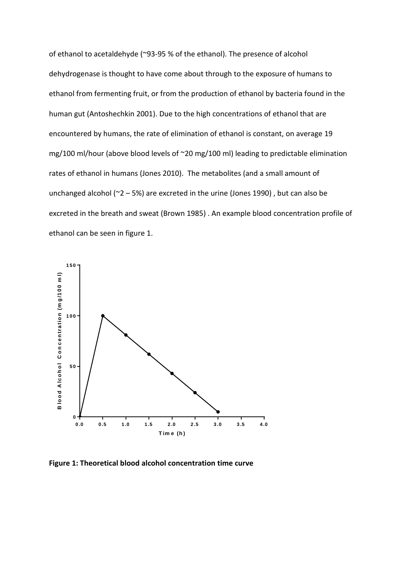of ethanol to acetaldehyde (~93-95 % of the ethanol). The presence of alcohol dehydrogenase is thought to have come about through to the exposure of humans to ethanol from fermenting fruit, or from the production of ethanol by bacteria found in the human gut (Antoshechkin 2001). Due to the high concentrations of ethanol that are encountered by humans, the rate of elimination of ethanol is constant, on average 19 mg/100 ml/hour (above blood levels of ~20 mg/100 ml) leading to predictable elimination rates of ethanol in humans (Jones 2010). The metabolites (and a small amount of unchanged alcohol ( $2 - 5$ %) are excreted in the urine (Jones 1990), but can also be excreted in the breath and sweat (Brown 1985) . An example blood concentration profile of ethanol can be seen in figure 1.



**Figure 1: Theoretical blood alcohol concentration time curve**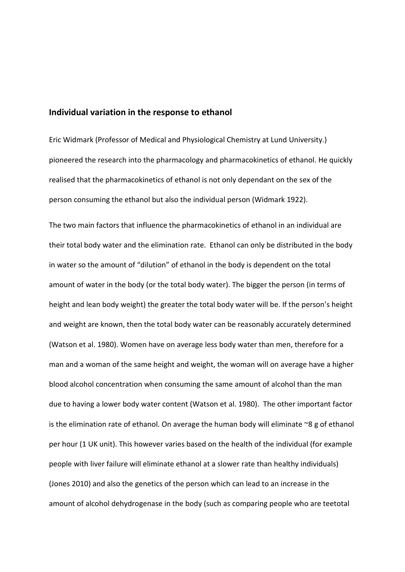### **Individual variation in the response to ethanol**

Eric Widmark (Professor of Medical and Physiological Chemistry at Lund University.) pioneered the research into the pharmacology and pharmacokinetics of ethanol. He quickly realised that the pharmacokinetics of ethanol is not only dependant on the sex of the person consuming the ethanol but also the individual person (Widmark 1922).

The two main factors that influence the pharmacokinetics of ethanol in an individual are their total body water and the elimination rate. Ethanol can only be distributed in the body in water so the amount of "dilution" of ethanol in the body is dependent on the total amount of water in the body (or the total body water). The bigger the person (in terms of height and lean body weight) the greater the total body water will be. If the person's height and weight are known, then the total body water can be reasonably accurately determined (Watson et al. 1980). Women have on average less body water than men, therefore for a man and a woman of the same height and weight, the woman will on average have a higher blood alcohol concentration when consuming the same amount of alcohol than the man due to having a lower body water content (Watson et al. 1980). The other important factor is the elimination rate of ethanol. On average the human body will eliminate  $\sim8$  g of ethanol per hour (1 UK unit). This however varies based on the health of the individual (for example people with liver failure will eliminate ethanol at a slower rate than healthy individuals) (Jones 2010) and also the genetics of the person which can lead to an increase in the amount of alcohol dehydrogenase in the body (such as comparing people who are teetotal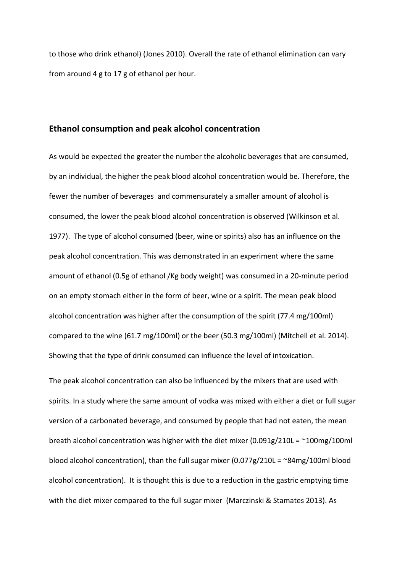to those who drink ethanol) (Jones 2010). Overall the rate of ethanol elimination can vary from around 4 g to 17 g of ethanol per hour.

### **Ethanol consumption and peak alcohol concentration**

As would be expected the greater the number the alcoholic beverages that are consumed, by an individual, the higher the peak blood alcohol concentration would be. Therefore, the fewer the number of beverages and commensurately a smaller amount of alcohol is consumed, the lower the peak blood alcohol concentration is observed (Wilkinson et al. 1977). The type of alcohol consumed (beer, wine or spirits) also has an influence on the peak alcohol concentration. This was demonstrated in an experiment where the same amount of ethanol (0.5g of ethanol /Kg body weight) was consumed in a 20-minute period on an empty stomach either in the form of beer, wine or a spirit. The mean peak blood alcohol concentration was higher after the consumption of the spirit (77.4 mg/100ml) compared to the wine (61.7 mg/100ml) or the beer (50.3 mg/100ml) (Mitchell et al. 2014). Showing that the type of drink consumed can influence the level of intoxication.

The peak alcohol concentration can also be influenced by the mixers that are used with spirits. In a study where the same amount of vodka was mixed with either a diet or full sugar version of a carbonated beverage, and consumed by people that had not eaten, the mean breath alcohol concentration was higher with the diet mixer (0.091g/210L =  $\sim$ 100mg/100ml blood alcohol concentration), than the full sugar mixer  $(0.077g/210L = \gamma 84mg/100m$  blood alcohol concentration). It is thought this is due to a reduction in the gastric emptying time with the diet mixer compared to the full sugar mixer (Marczinski & Stamates 2013). As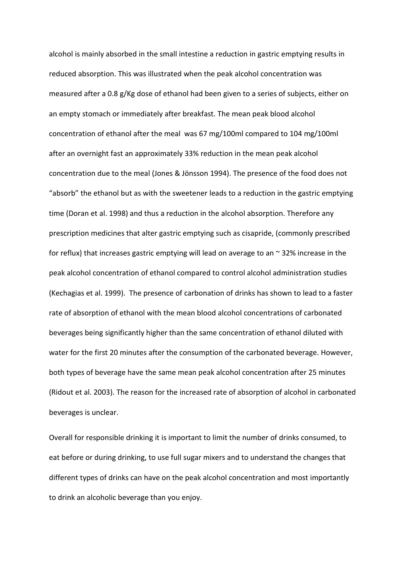alcohol is mainly absorbed in the small intestine a reduction in gastric emptying results in reduced absorption. This was illustrated when the peak alcohol concentration was measured after a 0.8 g/Kg dose of ethanol had been given to a series of subjects, either on an empty stomach or immediately after breakfast. The mean peak blood alcohol concentration of ethanol after the meal was 67 mg/100ml compared to 104 mg/100ml after an overnight fast an approximately 33% reduction in the mean peak alcohol concentration due to the meal (Jones & Jönsson 1994). The presence of the food does not "absorb" the ethanol but as with the sweetener leads to a reduction in the gastric emptying time (Doran et al. 1998) and thus a reduction in the alcohol absorption. Therefore any prescription medicines that alter gastric emptying such as cisapride, (commonly prescribed for reflux) that increases gastric emptying will lead on average to an  $\sim$  32% increase in the peak alcohol concentration of ethanol compared to control alcohol administration studies (Kechagias et al. 1999). The presence of carbonation of drinks has shown to lead to a faster rate of absorption of ethanol with the mean blood alcohol concentrations of carbonated beverages being significantly higher than the same concentration of ethanol diluted with water for the first 20 minutes after the consumption of the carbonated beverage. However, both types of beverage have the same mean peak alcohol concentration after 25 minutes (Ridout et al. 2003). The reason for the increased rate of absorption of alcohol in carbonated beverages is unclear.

Overall for responsible drinking it is important to limit the number of drinks consumed, to eat before or during drinking, to use full sugar mixers and to understand the changes that different types of drinks can have on the peak alcohol concentration and most importantly to drink an alcoholic beverage than you enjoy.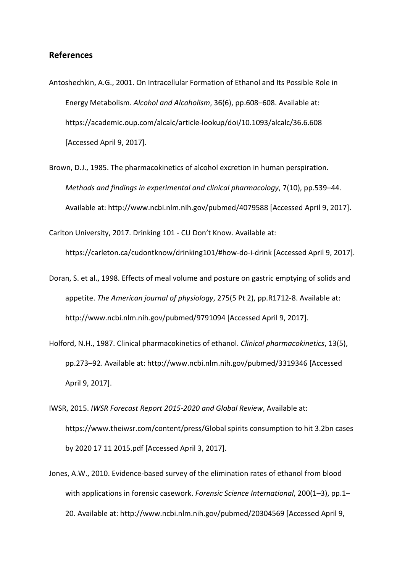# **References**

- Antoshechkin, A.G., 2001. On Intracellular Formation of Ethanol and Its Possible Role in Energy Metabolism. *Alcohol and Alcoholism*, 36(6), pp.608–608. Available at: https://academic.oup.com/alcalc/article-lookup/doi/10.1093/alcalc/36.6.608 [Accessed April 9, 2017].
- Brown, D.J., 1985. The pharmacokinetics of alcohol excretion in human perspiration. *Methods and findings in experimental and clinical pharmacology*, 7(10), pp.539–44. Available at: http://www.ncbi.nlm.nih.gov/pubmed/4079588 [Accessed April 9, 2017].

Carlton University, 2017. Drinking 101 - CU Don't Know. Available at:

https://carleton.ca/cudontknow/drinking101/#how-do-i-drink [Accessed April 9, 2017].

- Doran, S. et al., 1998. Effects of meal volume and posture on gastric emptying of solids and appetite. *The American journal of physiology*, 275(5 Pt 2), pp.R1712-8. Available at: http://www.ncbi.nlm.nih.gov/pubmed/9791094 [Accessed April 9, 2017].
- Holford, N.H., 1987. Clinical pharmacokinetics of ethanol. *Clinical pharmacokinetics*, 13(5), pp.273–92. Available at: http://www.ncbi.nlm.nih.gov/pubmed/3319346 [Accessed April 9, 2017].
- IWSR, 2015. *IWSR Forecast Report 2015-2020 and Global Review*, Available at: https://www.theiwsr.com/content/press/Global spirits consumption to hit 3.2bn cases by 2020 17 11 2015.pdf [Accessed April 3, 2017].
- Jones, A.W., 2010. Evidence-based survey of the elimination rates of ethanol from blood with applications in forensic casework. *Forensic Science International*, 200(1–3), pp.1– 20. Available at: http://www.ncbi.nlm.nih.gov/pubmed/20304569 [Accessed April 9,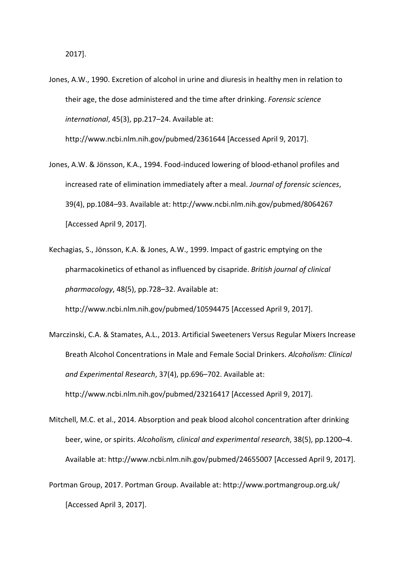Jones, A.W., 1990. Excretion of alcohol in urine and diuresis in healthy men in relation to their age, the dose administered and the time after drinking. *Forensic science international*, 45(3), pp.217–24. Available at:

http://www.ncbi.nlm.nih.gov/pubmed/2361644 [Accessed April 9, 2017].

- Jones, A.W. & Jönsson, K.A., 1994. Food-induced lowering of blood-ethanol profiles and increased rate of elimination immediately after a meal. *Journal of forensic sciences*, 39(4), pp.1084–93. Available at: http://www.ncbi.nlm.nih.gov/pubmed/8064267 [Accessed April 9, 2017].
- Kechagias, S., Jönsson, K.A. & Jones, A.W., 1999. Impact of gastric emptying on the pharmacokinetics of ethanol as influenced by cisapride. *British journal of clinical pharmacology*, 48(5), pp.728–32. Available at:

http://www.ncbi.nlm.nih.gov/pubmed/10594475 [Accessed April 9, 2017].

- Marczinski, C.A. & Stamates, A.L., 2013. Artificial Sweeteners Versus Regular Mixers Increase Breath Alcohol Concentrations in Male and Female Social Drinkers. *Alcoholism: Clinical and Experimental Research*, 37(4), pp.696–702. Available at: http://www.ncbi.nlm.nih.gov/pubmed/23216417 [Accessed April 9, 2017].
- Mitchell, M.C. et al., 2014. Absorption and peak blood alcohol concentration after drinking beer, wine, or spirits. *Alcoholism, clinical and experimental research*, 38(5), pp.1200–4. Available at: http://www.ncbi.nlm.nih.gov/pubmed/24655007 [Accessed April 9, 2017].
- Portman Group, 2017. Portman Group. Available at: http://www.portmangroup.org.uk/ [Accessed April 3, 2017].